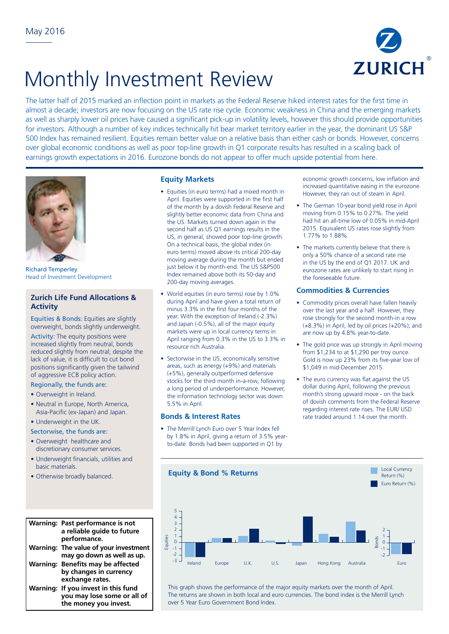

# Monthly Investment Review

The latter half of 2015 marked an inflection point in markets as the Federal Reserve hiked interest rates for the first time in almost a decade; investors are now focusing on the US rate rise cycle. Economic weakness in China and the emerging markets as well as sharply lower oil prices have caused a significant pick-up in volatility levels, however this should provide opportunities for investors. Although a number of key indices technically hit bear market territory earlier in the year, the dominant US S&P 500 Index has remained resilient. Equities remain better value on a relative basis than either cash or bonds. However, concerns over global economic conditions as well as poor top-line growth in Q1 corporate results has resulted in a scaling back of earnings growth expectations in 2016. Eurozone bonds do not appear to offer much upside potential from here.



Richard Temperley Head of Investment Development

## **Zurich Life Fund Allocations & Activity**

Equities & Bonds: Equities are slightly overweight, bonds slightly underweight.

Activity: The equity positions were increased slightly from neutral, bonds reduced slightly from neutral; despite the lack of value, it is difficult to cut bond positions significantly given the tailwind of aggressive ECB policy action.

# Regionally, the funds are:

- Overweight in Ireland.
- Neutral in Europe, North America, Asia-Pacific (ex-Japan) and Japan.

### • Underweight in the UK.

Sectorwise, the funds are:

- Overweight healthcare and discretionary consumer services.
- Underweight financials, utilities and basic materials.  $|16$
- Otherwise broadly balanced.

#### **Warning: Past performance is not**  8 **a reliable guide to future**  7 3 **performance. Warning: The value of your investment**  0 **may go down as well as up.**  3 5 **Warning: Benefits may be affected**  4 **benents may be ancete**<br>by changes in currency exchange rates. **Warning: If you invest in this fund**  -6 **you may lose some or all of**  -8 **the money you invest.** -10  $+$ hic  $\ddot{i}$ 7  $\ddot{\phantom{0}}$

-11

## **Equity Markets**

- Equities (in euro terms) had a mixed month in April. Equities were supported in the first half of the month by a dovish Federal Reserve and slightly better economic data from China and the US. Markets turned down again in the second half as US Q1 earnings results in the US, in general, showed poor top-line growth. On a technical basis, the global index (in euro terms) moved above its critical 200-day moving average during the month but ended just below it by month-end. The US S&P500 Index remained above both its 50-day and 200-day moving averages.
- World equities (in euro terms) rose by 1.0% during April and have given a total return of minus 3.3% in the first four months of the year. With the exception of Ireland (-2.3%) and Japan (-0.5%), all of the major equity markets were up in local currency terms in April ranging from 0.3% in the US to 3.3% in resource rich Australia.
- Sectorwise in the US, economically sensitive areas, such as energy (+9%) and materials (+5%), generally outperformed defensive stocks for the third month in-a-row, following a long period of underperformance. However, the information technology sector was down 5.5% in April.

#### **Bonds & Interest Rates**

• The Merrill Lynch Euro over 5 Year Index fell by 1.8% in April, giving a return of 3.5% yearto-date. Bonds had been supported in Q1 by

economic growth concerns, low inflation and increased quantitative easing in the eurozone. However, they ran out of steam in April.

- The German 10-year bond yield rose in April moving from 0.15% to 0.27%. The yield had hit an all-time low of 0.05% in mid-April 2015. Equivalent US rates rose slightly from 1.77% to 1.88%.
- The markets currently believe that there is only a 50% chance of a second rate rise in the US by the end of Q1 2017. UK and eurozone rates are unlikely to start rising in the foreseeable future.

### **Commodities & Currencies**

- Commodity prices overall have fallen heavily over the last year and a half. However, they rose strongly for the second month-in a row (+8.3%) in April, led by oil prices (+20%); and are now up by 4.8% year-to-date.
- The gold price was up strongly in April moving from \$1,234 to at \$1,290 per troy ounce. Gold is now up 23% from its five-year low of \$1,049 in mid-December 2015.
- The euro currency was flat against the US dollar during April, following the previous month's strong upward move - on the back of dovish comments from the Federal Reserve regarding interest rate rises. The EUR/ USD rate traded around 1.14 over the month.



This graph shows the performance of the major equity markets over the month of April. The returns are shown in both local and euro currencies. The bond index is the Merrill Lynch over 5 Year Euro Government Bond Index.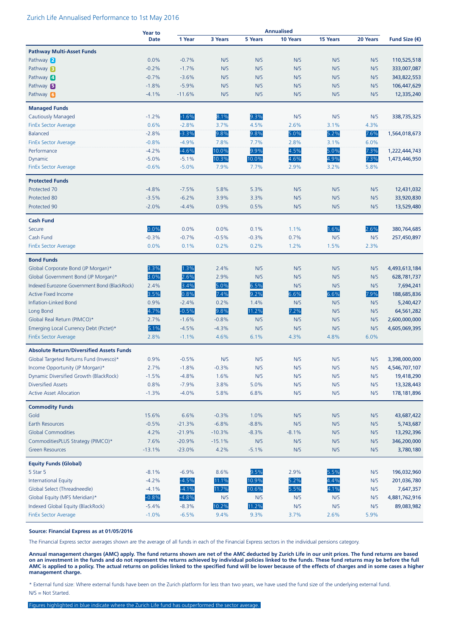#### Zurich Life Annualised Performance to 1st May 2016

|                                                 | <b>Year to</b> |          |          |         | <b>Annualised</b> |          |          |               |
|-------------------------------------------------|----------------|----------|----------|---------|-------------------|----------|----------|---------------|
|                                                 | <b>Date</b>    | 1 Year   | 3 Years  | 5 Years | 10 Years          | 15 Years | 20 Years | Fund Size (€) |
| <b>Pathway Multi-Asset Funds</b>                |                |          |          |         |                   |          |          |               |
| Pathway 2                                       | 0.0%           | $-0.7%$  | N/S      | N/S     | N/S               | N/S      | N/S      | 110,525,518   |
| Pathway <b>B</b>                                | $-0.2%$        | $-1.7%$  | N/S      | N/S     | N/S               | N/S      | N/S      | 333,007,087   |
| Pathway 4                                       | $-0.7%$        | $-3.6%$  | N/S      | N/S     | N/S               | N/S      | N/S      | 343,822,553   |
| Pathway <b>B</b>                                | $-1.8%$        | $-5.9%$  | N/S      | N/S     | N/S               | N/S      | N/S      | 106,447,629   |
| Pathway 6                                       | $-4.1%$        | $-11.6%$ | N/S      | N/S     | N/S               | N/S      | N/S      | 12,335,240    |
|                                                 |                |          |          |         |                   |          |          |               |
| <b>Managed Funds</b>                            |                |          |          |         |                   |          |          |               |
| <b>Cautiously Managed</b>                       | $-1.2%$        | $-1.6%$  | 8.1%     | 9.3%    | N/S               | N/S      | N/S      | 338,735,325   |
| <b>FinEx Sector Average</b>                     | 0.6%           | $-2.8%$  | 3.7%     | 4.5%    | 2.6%              | 3.1%     | 4.3%     |               |
| <b>Balanced</b>                                 | $-2.8%$        | $-3.3%$  | $9.8\%$  | 9.8%    | 5.0%              | 5.2%     | 7.6%     | 1,564,018,673 |
| <b>FinEx Sector Average</b>                     | $-0.8%$        | $-4.9%$  | 7.8%     | 7.7%    | 2.8%              | 3.1%     | 6.0%     |               |
| Performance                                     | $-4.2%$        | $-4.6%$  | 10.0%    | 9.9%    | 4.5%              | 5.0%     | 7.3%     | 1,222,444,743 |
| Dynamic                                         | $-5.0%$        | $-5.1%$  | 10.3%    | 10.0%   | 4.6%              | 4.9%     | 7.3%     | 1,473,446,950 |
| <b>FinEx Sector Average</b>                     | $-0.6%$        | $-5.0%$  | 7.9%     | 7.7%    | 2.9%              | 3.2%     | 5.8%     |               |
|                                                 |                |          |          |         |                   |          |          |               |
| <b>Protected Funds</b>                          |                |          |          |         |                   |          |          |               |
| Protected 70                                    | $-4.8%$        | $-7.5%$  | 5.8%     | 5.3%    | N/S               | N/S      | N/S      | 12,431,032    |
| Protected 80                                    | $-3.5%$        | $-6.2%$  | 3.9%     | 3.3%    | N/S               | N/S      | N/S      | 33,920,830    |
| Protected 90                                    | $-2.0%$        | $-4.4%$  | 0.9%     | 0.5%    | N/S               | N/S      | N/S      | 13,529,480    |
| <b>Cash Fund</b>                                |                |          |          |         |                   |          |          |               |
| Secure                                          | 0.0%           | 0.0%     | 0.0%     | 0.1%    | 1.1%              | 1.6%     | 2.6%     | 380,764,685   |
| Cash Fund                                       | $-0.3%$        | $-0.7%$  | $-0.5%$  | $-0.3%$ | 0.7%              | N/S      | N/S      | 257,450,897   |
| <b>FinEx Sector Average</b>                     | 0.0%           | 0.1%     | 0.2%     | 0.2%    | 1.2%              | 1.5%     | 2.3%     |               |
|                                                 |                |          |          |         |                   |          |          |               |
| <b>Bond Funds</b>                               |                |          |          |         |                   |          |          |               |
| Global Corporate Bond (JP Morgan)*              | 3.3%           | 1.3%     | 2.4%     | N/S     | N/S               | N/S      | N/S      | 4,493,613,184 |
| Global Government Bond (JP Morgan)*             | 3.0%           | 2.6%     | 2.9%     | N/S     | N/S               | N/S      | N/S      | 628,781,737   |
| Indexed Eurozone Government Bond (BlackRock)    | 2.4%           | 3.4%     | 5.0%     | 6.5%    | N/S               | N/S      | N/S      | 7,694,241     |
| <b>Active Fixed Income</b>                      | 3.5%           | 0.8%     | 7.4%     | 9.2%    | 6.6%              | 6.6%     | 7.9%     | 188,685,836   |
| Inflation-Linked Bond                           | 0.9%           | $-2.4%$  | 0.2%     | 1.4%    | N/S               | N/S      | N/S      | 5,240,427     |
| Long Bond                                       | 4.7%           | $-0.5%$  | 9.8%     | 11.2%   | 7.2%              | N/S      | N/S      | 64,561,282    |
| Global Real Return (PIMCO)*                     | 2.7%           | $-1.6%$  | $-0.8%$  | N/S     | N/S               | N/S      | N/S      | 2,600,000,000 |
| Emerging Local Currency Debt (Pictet)*          | 5.1%           | $-4.5%$  | $-4.3%$  | N/S     | N/S               | N/S      | N/S      | 4,605,069,395 |
| <b>FinEx Sector Average</b>                     | 2.8%           | $-1.1%$  | 4.6%     | 6.1%    | 4.3%              | 4.8%     | 6.0%     |               |
| <b>Absolute Return/Diversified Assets Funds</b> |                |          |          |         |                   |          |          |               |
| Global Targeted Returns Fund (Invesco)*         | 0.9%           | $-0.5%$  | N/S      | N/S     | N/S               | N/S      | N/S      | 3,398,000,000 |
| Income Opportunity (JP Morgan)*                 | 2.7%           | $-1.8%$  | $-0.3%$  | N/S     | N/S               | N/S      | N/S      | 4,546,707,107 |
| Dynamic Diversified Growth (BlackRock)          | $-1.5%$        | $-4.8%$  | 1.6%     | N/S     | N/S               | N/S      | N/S      | 19,418,290    |
| <b>Diversified Assets</b>                       | 0.8%           | $-7.9%$  | 3.8%     | 5.0%    | N/S               | N/S      | N/S      | 13,328,443    |
| <b>Active Asset Allocation</b>                  | $-1.3%$        | $-4.0%$  | 5.8%     | 6.8%    | N/S               | N/S      | N/S      | 178, 181, 896 |
|                                                 |                |          |          |         |                   |          |          |               |
| <b>Commodity Funds</b>                          |                |          |          |         |                   |          |          |               |
| Gold                                            | 15.6%          | 6.6%     | $-0.3%$  | 1.0%    | N/S               | N/S      | N/S      | 43,687,422    |
| Earth Resources                                 | $-0.5%$        | $-21.3%$ | $-6.8%$  | $-8.8%$ | N/S               | N/S      | N/S      | 5,743,687     |
| <b>Global Commodities</b>                       | 4.2%           | $-21.9%$ | $-10.3%$ | $-8.3%$ | $-8.1%$           | N/S      | N/S      | 13,292,396    |
| CommoditiesPLUS Strategy (PIMCO)*               | 7.6%           | $-20.9%$ | $-15.1%$ | N/S     | N/S               | N/S      | N/S      | 346,200,000   |
| <b>Green Resources</b>                          | $-13.1%$       | $-23.0%$ | 4.2%     | $-5.1%$ | N/S               | N/S      | N/S      | 3,780,180     |
| <b>Equity Funds (Global)</b>                    |                |          |          |         |                   |          |          |               |
| 5 Star 5                                        | $-8.1%$        | $-6.9%$  | 8.6%     | 9.5%    | 2.9%              | 5.5%     | N/S      | 196,032,960   |
| International Equity                            | $-4.2%$        | $-4.5%$  | 11.1%    | 10.9%   | 5.2%              | 4.4%     | N/S      | 201,036,780   |
| Global Select (Threadneedle)                    | $-4.1%$        | $-4.1%$  | 11.7%    | 10.6%   | 5.5%              | 4.1%     | N/S      | 7,647,357     |
| Global Equity (MFS Meridian)*                   | $-0.8%$        | $-4.8%$  | N/S      | N/S     | N/S               | N/S      | N/S      | 4,881,762,916 |
| Indexed Global Equity (BlackRock)               | $-5.4%$        | $-8.3%$  | 10.2%    | 11.2%   | N/S               | N/S      | N/S      | 89,083,982    |
| <b>FinEx Sector Average</b>                     | $-1.0%$        | $-6.5%$  | 9.4%     | 9.3%    | 3.7%              | 2.6%     | 5.9%     |               |
|                                                 |                |          |          |         |                   |          |          |               |

#### **Source: Financial Express as at 01/05/2016**

The Financial Express sector averages shown are the average of all funds in each of the Financial Express sectors in the individual pensions category.

**Annual management charges (AMC) apply. The fund returns shown are net of the AMC deducted by Zurich Life in our unit prices. The fund returns are based on an investment in the funds and do not represent the returns achieved by individual policies linked to the funds. These fund returns may be before the full AMC is applied to a policy. The actual returns on policies linked to the specified fund will be lower because of the effects of charges and in some cases a higher management charge.**

\* External fund size: Where external funds have been on the Zurich platform for less than two years, we have used the fund size of the underlying external fund. N/S = Not Started.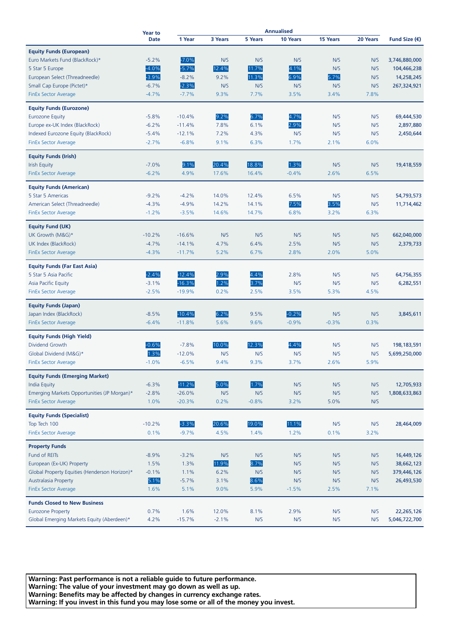|                                               | <b>Year to</b><br><b>Date</b> | <b>Annualised</b> |         |                |          |          |             |                           |
|-----------------------------------------------|-------------------------------|-------------------|---------|----------------|----------|----------|-------------|---------------------------|
|                                               |                               | 1 Year            | 3 Years | <b>5 Years</b> | 10 Years | 15 Years | 20 Years    | Fund Size $(\epsilon)$    |
| <b>Equity Funds (European)</b>                |                               |                   |         |                |          |          |             |                           |
| Euro Markets Fund (BlackRock)*                | $-5.2%$                       | $-7.0%$           | N/S     | N/S            | N/S      | N/S      | N/S         | 3,746,880,000             |
|                                               | $-4.0%$                       | $-5.7%$           | 12.4%   | 11.7%          |          | N/S      | N/S         |                           |
| 5 Star 5 Europe                               | $-3.9%$                       |                   |         | 11.3%          | 4.1%     |          |             | 104,466,238<br>14,258,245 |
| European Select (Threadneedle)                |                               | $-8.2%$           | 9.2%    |                | 6.9%     | 5.7%     | N/S         |                           |
| Small Cap Europe (Pictet)*                    | $-6.7%$                       | $-2.3%$           | N/S     | N/S            | N/S      | N/S      | N/S         | 267,324,921               |
| <b>FinEx Sector Average</b>                   | $-4.7%$                       | $-7.7%$           | 9.3%    | 7.7%           | 3.5%     | 3.4%     | 7.8%        |                           |
| <b>Equity Funds (Eurozone)</b>                |                               |                   |         |                |          |          |             |                           |
| <b>Eurozone Equity</b>                        | $-5.8%$                       | $-10.4%$          | 9.2%    | 6.7%           | 4.7%     | N/S      | N/S         | 69,444,530                |
| Europe ex-UK Index (BlackRock)                | $-6.2%$                       | $-11.4%$          | 7.8%    | 6.1%           | 2.9%     | N/S      | N/S         | 2,897,880                 |
| Indexed Eurozone Equity (BlackRock)           | $-5.4%$                       | $-12.1%$          | 7.2%    | 4.3%           | N/S      | N/S      | N/S         | 2,450,644                 |
| <b>FinEx Sector Average</b>                   | $-2.7%$                       | $-6.8%$           | 9.1%    | 6.3%           | 1.7%     | 2.1%     | 6.0%        |                           |
| <b>Equity Funds (Irish)</b>                   |                               |                   |         |                |          |          |             |                           |
| <b>Irish Equity</b>                           | $-7.0%$                       | 9.1%              | 20.4%   | 18.8%          | 1.3%     | N/S      | N/S         | 19,418,559                |
| FinEx Sector Average                          | $-6.2%$                       | 4.9%              | 17.6%   | 16.4%          | $-0.4%$  | 2.6%     | 6.5%        |                           |
|                                               |                               |                   |         |                |          |          |             |                           |
| <b>Equity Funds (American)</b>                |                               |                   |         |                |          |          |             |                           |
| 5 Star 5 Americas                             | $-9.2%$                       | $-4.2%$           | 14.0%   | 12.4%          | 6.5%     | N/S      | N/S         | 54,793,573                |
| American Select (Threadneedle)                | $-4.3%$                       | $-4.9%$           | 14.2%   | 14.1%          | 7.5%     | 3.5%     | N/S         | 11,714,462                |
| <b>FinEx Sector Average</b>                   | $-1.2%$                       | $-3.5%$           | 14.6%   | 14.7%          | 6.8%     | 3.2%     | 6.3%        |                           |
| <b>Equity Fund (UK)</b>                       |                               |                   |         |                |          |          |             |                           |
| UK Growth (M&G)*                              | $-10.2%$                      | $-16.6%$          | N/S     | N/S            | N/S      | N/S      | N/S         | 662,040,000               |
| UK Index (BlackRock)                          | $-4.7%$                       | $-14.1%$          | 4.7%    | 6.4%           | 2.5%     | N/S      | N/S         | 2,379,733                 |
| <b>FinEx Sector Average</b>                   | $-4.3%$                       | $-11.7%$          | 5.2%    | 6.7%           | 2.8%     | 2.0%     | 5.0%        |                           |
|                                               |                               |                   |         |                |          |          |             |                           |
| <b>Equity Funds (Far East Asia)</b>           |                               |                   |         |                |          |          |             |                           |
| 5 Star 5 Asia Pacific                         | $-2.4%$                       | $-12.4%$          | 2.9%    | 4.4%           | 2.8%     | N/S      | N/S         | 64,756,355                |
| <b>Asia Pacific Equity</b>                    | $-3.1%$                       | $-16.3%$          | 1.2%    | 3.7%           | N/S      | N/S      | N/S         | 6,282,551                 |
| <b>FinEx Sector Average</b>                   | $-2.5%$                       | $-19.9%$          | 0.2%    | 2.5%           | 3.5%     | 5.3%     | 4.5%        |                           |
| <b>Equity Funds (Japan)</b>                   |                               |                   |         |                |          |          |             |                           |
| Japan Index (BlackRock)                       | $-8.5%$                       | $-10.4%$          | 6.2%    | 9.5%           | $-0.2%$  | N/S      | N/S         | 3,845,611                 |
| <b>FinEx Sector Average</b>                   | $-6.4%$                       | $-11.8%$          | 5.6%    | 9.6%           | $-0.9%$  | $-0.3%$  | 0.3%        |                           |
| <b>Equity Funds (High Yield)</b>              |                               |                   |         |                |          |          |             |                           |
| Dividend Growth                               | $-0.6%$                       | $-7.8%$           | 10.0%   | 12.3%          | 4.4%     | N/S      | N/S         | 198, 183, 591             |
|                                               | 1.3%                          | $-12.0%$          | N/S     | N/S            | N/S      | N/S      |             | 5,699,250,000             |
| Global Dividend (M&G)*                        | $-1.0%$                       | $-6.5%$           | 9.4%    | 9.3%           | 3.7%     | 2.6%     | N/S<br>5.9% |                           |
| <b>FinEx Sector Average</b>                   |                               |                   |         |                |          |          |             |                           |
| <b>Equity Funds (Emerging Market)</b>         |                               |                   |         |                |          |          |             |                           |
| <b>India Equity</b>                           | $-6.3%$                       | $-11.2%$          | 5.0%    | 1.7%           | N/S      | N/S      | N/S         | 12,705,933                |
| Emerging Markets Opportunities (JP Morgan)*   | $-2.8%$                       | $-26.0%$          | N/S     | N/S            | N/S      | N/S      | N/S         | 1,808,633,863             |
| <b>FinEx Sector Average</b>                   | 1.0%                          | $-20.3%$          | 0.2%    | $-0.8%$        | 3.2%     | 5.0%     | N/S         |                           |
| <b>Equity Funds (Specialist)</b>              |                               |                   |         |                |          |          |             |                           |
| Top Tech 100                                  | $-10.2%$                      | $-3.3%$           | 20.6%   | 19.0%          | 11.1%    | N/S      | N/S         | 28,464,009                |
| <b>FinEx Sector Average</b>                   | 0.1%                          | $-9.7%$           | 4.5%    | 1.4%           | 1.2%     | 0.1%     | 3.2%        |                           |
|                                               |                               |                   |         |                |          |          |             |                           |
| <b>Property Funds</b><br>Fund of REITs        | $-8.9%$                       | $-3.2%$           | N/S     | N/S            | N/S      | N/S      | N/S         | 16,449,126                |
| European (Ex-UK) Property                     | 1.5%                          | 1.3%              | 11.9%   | 8.7%           | N/S      | N/S      | N/S         | 38,662,123                |
| Global Property Equities (Henderson Horizon)* | $-0.1%$                       | 1.1%              | 6.2%    | N/S            | N/S      | N/S      | N/S         | 379,446,126               |
| Australasia Property                          | 5.1%                          | $-5.7%$           | 3.1%    | 8.6%           | N/S      | N/S      | N/S         | 26,493,530                |
| <b>FinEx Sector Average</b>                   | 1.6%                          | 5.1%              | 9.0%    | 5.9%           | $-1.5%$  | 2.5%     | 7.1%        |                           |
|                                               |                               |                   |         |                |          |          |             |                           |
| <b>Funds Closed to New Business</b>           |                               |                   |         |                |          |          |             |                           |
| <b>Eurozone Property</b>                      | 0.7%                          | 1.6%              | 12.0%   | 8.1%           | 2.9%     | N/S      | N/S         | 22,265,126                |
| Global Emerging Markets Equity (Aberdeen)*    | 4.2%                          | $-15.7%$          | $-2.1%$ | N/S            | N/S      | N/S      | N/S         | 5,046,722,700             |

**Warning: Past performance is not a reliable guide to future performance. Warning: The value of your investment may go down as well as up. Warning: Benefits may be affected by changes in currency exchange rates. Warning: If you invest in this fund you may lose some or all of the money you invest.**